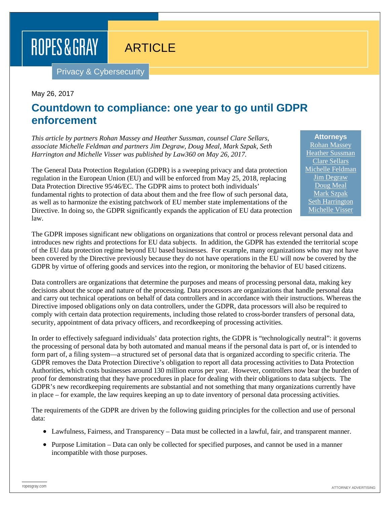# ROPES & GRAY

# **ARTICLE**

Privacy & Cybersecurity

#### May 26, 2017

### **Countdown to compliance: one year to go until GDPR enforcement**

*This article by partners Rohan Massey and Heather Sussman, counsel Clare Sellars, associate Michelle Feldman and partners Jim Degraw, Doug Meal, Mark Szpak, Seth Harrington and Michelle Visser was published by Law360 on May 26, 2017.*

The General Data Protection Regulation (GDPR) is a sweeping privacy and data protection regulation in the European Union (EU) and will be enforced from May 25, 2018, replacing Data Protection Directive 95/46/EC. The GDPR aims to protect both individuals' fundamental rights to protection of data about them and the free flow of such personal data, as well as to harmonize the existing patchwork of EU member state implementations of the Directive. In doing so, the GDPR significantly expands the application of EU data protection law.

The GDPR imposes significant new obligations on organizations that control or process relevant personal data and introduces new rights and protections for EU data subjects. In addition, the GDPR has extended the territorial scope of the EU data protection regime beyond EU based businesses. For example, many organizations who may not have been covered by the Directive previously because they do not have operations in the EU will now be covered by the GDPR by virtue of offering goods and services into the region, or monitoring the behavior of EU based citizens.

Data controllers are organizations that determine the purposes and means of processing personal data, making key decisions about the scope and nature of the processing. Data processors are organizations that handle personal data and carry out technical operations on behalf of data controllers and in accordance with their instructions. Whereas the Directive imposed obligations only on data controllers, under the GDPR, data processors will also be required to comply with certain data protection requirements, including those related to cross-border transfers of personal data, security, appointment of data privacy officers, and recordkeeping of processing activities.

In order to effectively safeguard individuals' data protection rights, the GDPR is "technologically neutral": it governs the processing of personal data by both automated and manual means if the personal data is part of, or is intended to form part of, a filing system—a structured set of personal data that is organized according to specific criteria. The GDPR removes the Data Protection Directive's obligation to report all data processing activities to Data Protection Authorities, which costs businesses around 130 million euros per year. However, controllers now bear the burden of proof for demonstrating that they have procedures in place for dealing with their obligations to data subjects. The GDPR's new recordkeeping requirements are substantial and not something that many organizations currently have in place – for example, the law requires keeping an up to date inventory of personal data processing activities.

The requirements of the GDPR are driven by the following guiding principles for the collection and use of personal data:

- Lawfulness, Fairness, and Transparency Data must be collected in a lawful, fair, and transparent manner.
- Purpose Limitation Data can only be collected for specified purposes, and cannot be used in a manner incompatible with those purposes.

[Rohan Massey](https://www.ropesgray.com/biographies/m/rohan-massey.aspx) [Heather Sussman](https://www.ropesgray.com/biographies/s/heather-egan-sussman.aspx) [Clare Sellars](https://www.ropesgray.com/biographies/s/clare-sellars.aspx) [Michelle Feldman](https://www.ropesgray.com/biographies/f/michelle-feldman.aspx) [Jim Degraw](https://www.ropesgray.com/biographies/d/james-s-degraw.aspx) [Doug Meal](https://www.ropesgray.com/biographies/m/douglas-h-meal.aspx) [Mark Szpak](https://www.ropesgray.com/biographies/s/mark-p-szpak.aspx) [Seth Harrington](https://www.ropesgray.com/biographies/h/seth-c-harrington.aspx) [Michelle Visser](https://www.ropesgray.com/biographies/v/michelle-visser.aspx)

**Attorneys**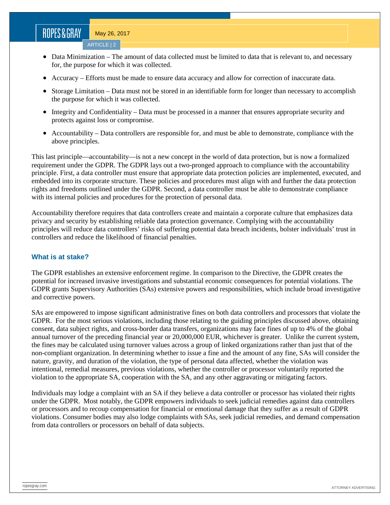# ROPES&GRAY

May 26, 2017

ARTICLE | 2

- Data Minimization The amount of data collected must be limited to data that is relevant to, and necessary for, the purpose for which it was collected.
- Accuracy Efforts must be made to ensure data accuracy and allow for correction of inaccurate data.
- Storage Limitation Data must not be stored in an identifiable form for longer than necessary to accomplish the purpose for which it was collected.
- Integrity and Confidentiality Data must be processed in a manner that ensures appropriate security and protects against loss or compromise.
- Accountability Data controllers are responsible for, and must be able to demonstrate, compliance with the above principles.

This last principle—accountability—is not a new concept in the world of data protection, but is now a formalized requirement under the GDPR. The GDPR lays out a two-pronged approach to compliance with the accountability principle. First, a data controller must ensure that appropriate data protection policies are implemented, executed, and embedded into its corporate structure. These policies and procedures must align with and further the data protection rights and freedoms outlined under the GDPR. Second, a data controller must be able to demonstrate compliance with its internal policies and procedures for the protection of personal data.

Accountability therefore requires that data controllers create and maintain a corporate culture that emphasizes data privacy and security by establishing reliable data protection governance. Complying with the accountability principles will reduce data controllers' risks of suffering potential data breach incidents, bolster individuals' trust in controllers and reduce the likelihood of financial penalties.

#### **What is at stake?**

The GDPR establishes an extensive enforcement regime. In comparison to the Directive, the GDPR creates the potential for increased invasive investigations and substantial economic consequences for potential violations. The GDPR grants Supervisory Authorities (SAs) extensive powers and responsibilities, which include broad investigative and corrective powers.

SAs are empowered to impose significant administrative fines on both data controllers and processors that violate the GDPR. For the most serious violations, including those relating to the guiding principles discussed above, obtaining consent, data subject rights, and cross-border data transfers, organizations may face fines of up to 4% of the global annual turnover of the preceding financial year or 20,000,000 EUR, whichever is greater. Unlike the current system, the fines may be calculated using turnover values across a group of linked organizations rather than just that of the non-compliant organization. In determining whether to issue a fine and the amount of any fine, SAs will consider the nature, gravity, and duration of the violation, the type of personal data affected, whether the violation was intentional, remedial measures, previous violations, whether the controller or processor voluntarily reported the violation to the appropriate SA, cooperation with the SA, and any other aggravating or mitigating factors.

Individuals may lodge a complaint with an SA if they believe a data controller or processor has violated their rights under the GDPR. Most notably, the GDPR empowers individuals to seek judicial remedies against data controllers or processors and to recoup compensation for financial or emotional damage that they suffer as a result of GDPR violations. Consumer bodies may also lodge complaints with SAs, seek judicial remedies, and demand compensation from data controllers or processors on behalf of data subjects.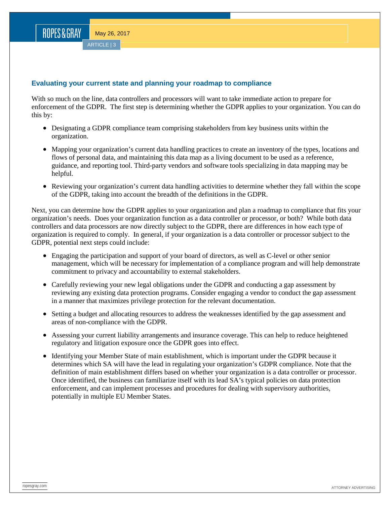ROPES&GRAY

#### **Evaluating your current state and planning your roadmap to compliance**

With so much on the line, data controllers and processors will want to take immediate action to prepare for enforcement of the GDPR. The first step is determining whether the GDPR applies to your organization. You can do this by:

- Designating a GDPR compliance team comprising stakeholders from key business units within the organization.
- Mapping your organization's current data handling practices to create an inventory of the types, locations and flows of personal data, and maintaining this data map as a living document to be used as a reference, guidance, and reporting tool. Third-party vendors and software tools specializing in data mapping may be helpful.
- Reviewing your organization's current data handling activities to determine whether they fall within the scope of the GDPR, taking into account the breadth of the definitions in the GDPR.

Next, you can determine how the GDPR applies to your organization and plan a roadmap to compliance that fits your organization's needs. Does your organization function as a data controller or processor, or both? While both data controllers and data processors are now directly subject to the GDPR, there are differences in how each type of organization is required to comply. In general, if your organization is a data controller or processor subject to the GDPR, potential next steps could include:

- Engaging the participation and support of your board of directors, as well as C-level or other senior management, which will be necessary for implementation of a compliance program and will help demonstrate commitment to privacy and accountability to external stakeholders.
- Carefully reviewing your new legal obligations under the GDPR and conducting a gap assessment by reviewing any existing data protection programs. Consider engaging a vendor to conduct the gap assessment in a manner that maximizes privilege protection for the relevant documentation.
- Setting a budget and allocating resources to address the weaknesses identified by the gap assessment and areas of non-compliance with the GDPR.
- Assessing your current liability arrangements and insurance coverage. This can help to reduce heightened regulatory and litigation exposure once the GDPR goes into effect.
- Identifying your Member State of main establishment, which is important under the GDPR because it determines which SA will have the lead in regulating your organization's GDPR compliance. Note that the definition of main establishment differs based on whether your organization is a data controller or processor. Once identified, the business can familiarize itself with its lead SA's typical policies on data protection enforcement, and can implement processes and procedures for dealing with supervisory authorities, potentially in multiple EU Member States.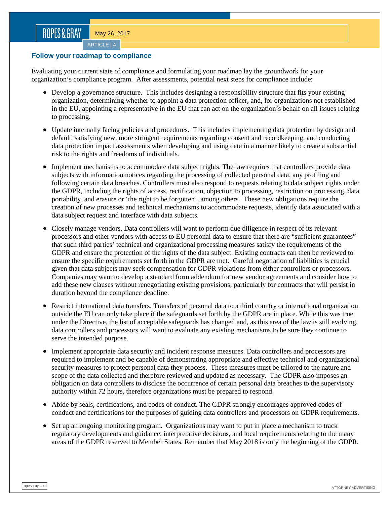ARTICLE | 4

#### **Follow your roadmap to compliance**

Evaluating your current state of compliance and formulating your roadmap lay the groundwork for your organization's compliance program. After assessments, potential next steps for compliance include:

- Develop a governance structure. This includes designing a responsibility structure that fits your existing organization, determining whether to appoint a data protection officer, and, for organizations not established in the EU, appointing a representative in the EU that can act on the organization's behalf on all issues relating to processing.
- Update internally facing policies and procedures. This includes implementing data protection by design and default, satisfying new, more stringent requirements regarding consent and recordkeeping, and conducting data protection impact assessments when developing and using data in a manner likely to create a substantial risk to the rights and freedoms of individuals.
- Implement mechanisms to accommodate data subject rights. The law requires that controllers provide data subjects with information notices regarding the processing of collected personal data, any profiling and following certain data breaches. Controllers must also respond to requests relating to data subject rights under the GDPR, including the rights of access, rectification, objection to processing, restriction on processing, data portability, and erasure or 'the right to be forgotten', among others. These new obligations require the creation of new processes and technical mechanisms to accommodate requests, identify data associated with a data subject request and interface with data subjects.
- Closely manage vendors. Data controllers will want to perform due diligence in respect of its relevant processors and other vendors with access to EU personal data to ensure that there are "sufficient guarantees" that such third parties' technical and organizational processing measures satisfy the requirements of the GDPR and ensure the protection of the rights of the data subject. Existing contracts can then be reviewed to ensure the specific requirements set forth in the GDPR are met. Careful negotiation of liabilities is crucial given that data subjects may seek compensation for GDPR violations from either controllers or processors. Companies may want to develop a standard form addendum for new vendor agreements and consider how to add these new clauses without renegotiating existing provisions, particularly for contracts that will persist in duration beyond the compliance deadline.
- Restrict international data transfers. Transfers of personal data to a third country or international organization outside the EU can only take place if the safeguards set forth by the GDPR are in place. While this was true under the Directive, the list of acceptable safeguards has changed and, as this area of the law is still evolving, data controllers and processors will want to evaluate any existing mechanisms to be sure they continue to serve the intended purpose.
- Implement appropriate data security and incident response measures. Data controllers and processors are required to implement and be capable of demonstrating appropriate and effective technical and organizational security measures to protect personal data they process. These measures must be tailored to the nature and scope of the data collected and therefore reviewed and updated as necessary. The GDPR also imposes an obligation on data controllers to disclose the occurrence of certain personal data breaches to the supervisory authority within 72 hours, therefore organizations must be prepared to respond.
- Abide by seals, certifications, and codes of conduct. The GDPR strongly encourages approved codes of conduct and certifications for the purposes of guiding data controllers and processors on GDPR requirements.
- Set up an ongoing monitoring program. Organizations may want to put in place a mechanism to track regulatory developments and guidance, interpretative decisions, and local requirements relating to the many areas of the GDPR reserved to Member States. Remember that May 2018 is only the beginning of the GDPR.